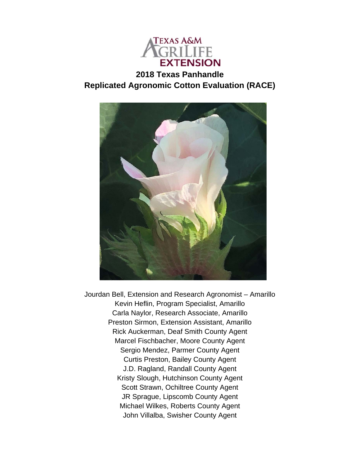

# **2018 Texas Panhandle Replicated Agronomic Cotton Evaluation (RACE)**



Jourdan Bell, Extension and Research Agronomist – Amarillo Kevin Heflin, Program Specialist, Amarillo Carla Naylor, Research Associate, Amarillo Preston Sirmon, Extension Assistant, Amarillo Rick Auckerman, Deaf Smith County Agent Marcel Fischbacher, Moore County Agent Sergio Mendez, Parmer County Agent Curtis Preston, Bailey County Agent J.D. Ragland, Randall County Agent Kristy Slough, Hutchinson County Agent Scott Strawn, Ochiltree County Agent JR Sprague, Lipscomb County Agent Michael Wilkes, Roberts County Agent John Villalba, Swisher County Agent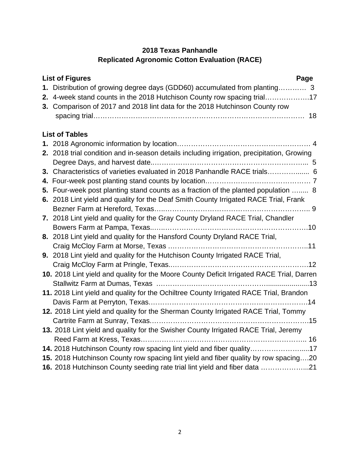## **2018 Texas Panhandle Replicated Agronomic Cotton Evaluation (RACE)**

| <b>List of Figures</b><br>Page                                                                                                                        |
|-------------------------------------------------------------------------------------------------------------------------------------------------------|
| 1. Distribution of growing degree days (GDD60) accumulated from planting 3<br>2. 4-week stand counts in the 2018 Hutchison County row spacing trial17 |
| 3. Comparison of 2017 and 2018 lint data for the 2018 Hutchinson County row                                                                           |
| <b>List of Tables</b>                                                                                                                                 |
|                                                                                                                                                       |
| 2. 2018 trial condition and in-season details including irrigation, precipitation, Growing                                                            |
| 3. Characteristics of varieties evaluated in 2018 Panhandle RACE trials 6                                                                             |
|                                                                                                                                                       |
| 5. Four-week post planting stand counts as a fraction of the planted population  8                                                                    |
| 6. 2018 Lint yield and quality for the Deaf Smith County Irrigated RACE Trial, Frank                                                                  |
|                                                                                                                                                       |
| 7. 2018 Lint yield and quality for the Gray County Dryland RACE Trial, Chandler                                                                       |
|                                                                                                                                                       |
| 8. 2018 Lint yield and quality for the Hansford County Dryland RACE Trial,                                                                            |
|                                                                                                                                                       |
| 9. 2018 Lint yield and quality for the Hutchison County Irrigated RACE Trial,                                                                         |
|                                                                                                                                                       |
| 10. 2018 Lint yield and quality for the Moore County Deficit Irrigated RACE Trial, Darren                                                             |
|                                                                                                                                                       |
| 11. 2018 Lint yield and quality for the Ochiltree County Irrigated RACE Trial, Brandon                                                                |
|                                                                                                                                                       |
| 12. 2018 Lint yield and quality for the Sherman County Irrigated RACE Trial, Tommy                                                                    |
|                                                                                                                                                       |
| 13. 2018 Lint yield and quality for the Swisher County Irrigated RACE Trial, Jeremy                                                                   |
|                                                                                                                                                       |
| 14. 2018 Hutchinson County row spacing lint yield and fiber quality17                                                                                 |
| 15. 2018 Hutchinson County row spacing lint yield and fiber quality by row spacing20                                                                  |
| 16. 2018 Hutchinson County seeding rate trial lint yield and fiber data 21                                                                            |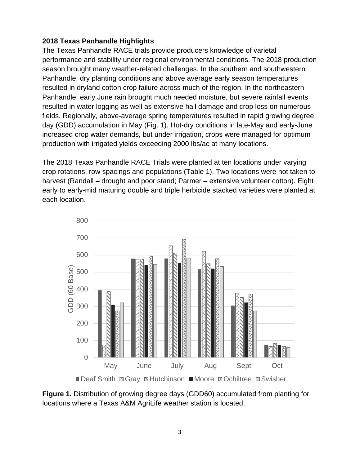### **2018 Texas Panhandle Highlights**

The Texas Panhandle RACE trials provide producers knowledge of varietal performance and stability under regional environmental conditions. The 2018 production season brought many weather-related challenges. In the southern and southwestern Panhandle, dry planting conditions and above average early season temperatures resulted in dryland cotton crop failure across much of the region. In the northeastern Panhandle, early June rain brought much needed moisture, but severe rainfall events resulted in water logging as well as extensive hail damage and crop loss on numerous fields. Regionally, above-average spring temperatures resulted in rapid growing degree day (GDD) accumulation in May (Fig. 1). Hot-dry conditions in late-May and early-June increased crop water demands, but under irrigation, crops were managed for optimum production with irrigated yields exceeding 2000 lbs/ac at many locations.

The 2018 Texas Panhandle RACE Trials were planted at ten locations under varying crop rotations, row spacings and populations (Table 1). Two locations were not taken to harvest (Randall – drought and poor stand; Parmer – extensive volunteer cotton). Eight early to early-mid maturing double and triple herbicide stacked varieties were planted at each location.



**Figure 1.** Distribution of growing degree days (GDD60) accumulated from planting for locations where a Texas A&M AgriLife weather station is located.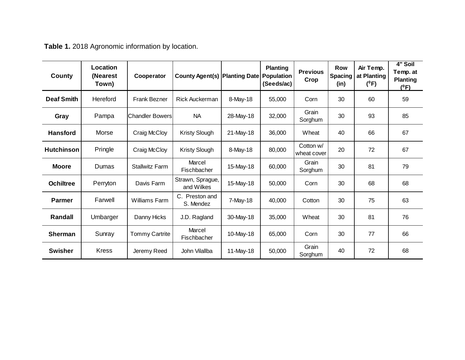| <b>County</b>     | Location<br>(Nearest<br>Town) | Cooperator             | <b>County Agent(s) Planting Date</b> |             | <b>Planting</b><br><b>Population</b><br>(Seeds/ac) | <b>Previous</b><br>Crop  | Row<br><b>Spacing</b><br>(in) | Air Temp.<br>at Planting<br>$(^0F)$ | 4" Soil<br>Temp. at<br><b>Planting</b><br>$(^0F)$ |
|-------------------|-------------------------------|------------------------|--------------------------------------|-------------|----------------------------------------------------|--------------------------|-------------------------------|-------------------------------------|---------------------------------------------------|
| <b>Deaf Smith</b> | Hereford                      | <b>Frank Bezner</b>    | <b>Rick Auckerman</b>                | 8-May-18    | 55,000                                             | Corn                     | 30                            | 60                                  | 59                                                |
| Gray              | Pampa                         | <b>Chandler Bowers</b> | <b>NA</b>                            | 28-May-18   | 32,000                                             | Grain<br>Sorghum         | 30                            | 93                                  | 85                                                |
| <b>Hansford</b>   | Morse                         | Craig McCloy           | <b>Kristy Slough</b>                 | 21-May-18   | 36,000                                             | Wheat                    | 40                            | 66                                  | 67                                                |
| <b>Hutchinson</b> | Pringle                       | Craig McCloy           | <b>Kristy Slough</b>                 | 8-May-18    | 80,000                                             | Cotton w/<br>wheat cover | 20                            | 72                                  | 67                                                |
| <b>Moore</b>      | Dumas                         | <b>Stallwitz Farm</b>  | Marcel<br>Fischbacher                | 15-May-18   | 60,000                                             | Grain<br>Sorghum         | 30                            | 81                                  | 79                                                |
| <b>Ochiltree</b>  | Perryton                      | Davis Farm             | Strawn, Sprague,<br>and Wilkes       | 15-May-18   | 50,000                                             | Corn                     | 30                            | 68                                  | 68                                                |
| <b>Parmer</b>     | Farwell                       | <b>Williams Farm</b>   | C. Preston and<br>S. Mendez          | $7$ -May-18 | 40,000                                             | Cotton                   | 30                            | 75                                  | 63                                                |
| Randall           | Umbarger                      | Danny Hicks            | J.D. Ragland                         | 30-May-18   | 35,000                                             | Wheat                    | 30                            | 81                                  | 76                                                |
| <b>Sherman</b>    | Sunray                        | <b>Tommy Cartrite</b>  | Marcel<br>Fischbacher                | 10-May-18   | 65,000                                             | Corn                     | 30                            | 77                                  | 66                                                |
| <b>Swisher</b>    | <b>Kress</b>                  | Jeremy Reed            | John Vilallba                        | 11-May-18   | 50,000                                             | Grain<br>Sorghum         | 40                            | 72                                  | 68                                                |

**Table 1.** 2018 Agronomic information by location.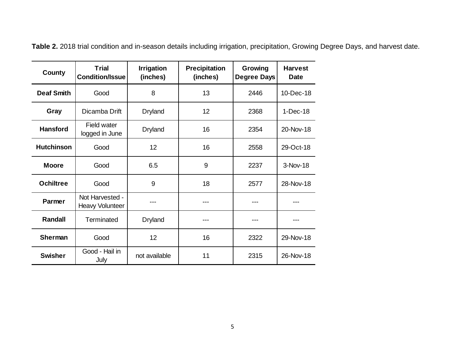| County            | <b>Trial</b><br><b>Condition/Issue</b> | <b>Irrigation</b><br>(inches) | <b>Precipitation</b><br>(inches) | Growing<br>Degree Days | <b>Harvest</b><br><b>Date</b> |
|-------------------|----------------------------------------|-------------------------------|----------------------------------|------------------------|-------------------------------|
| <b>Deaf Smith</b> | Good                                   | 8                             | 13                               | 2446                   | 10-Dec-18                     |
| Gray              | Dicamba Drift                          | <b>Dryland</b>                | 12                               | 2368                   | $1-Dec-18$                    |
| <b>Hansford</b>   | <b>Field water</b><br>logged in June   | <b>Dryland</b>                | 16                               | 2354                   | 20-Nov-18                     |
| <b>Hutchinson</b> | Good                                   | 12                            | 16                               | 2558                   | 29-Oct-18                     |
| <b>Moore</b>      | Good                                   | 6.5                           | 9                                | 2237                   | 3-Nov-18                      |
| <b>Ochiltree</b>  | Good                                   | 9                             | 18                               | 2577                   | 28-Nov-18                     |
| Parmer            | Not Harvested -<br>Heavy Volunteer     |                               |                                  |                        |                               |
| <b>Randall</b>    | Terminated                             | <b>Dryland</b>                |                                  |                        |                               |
| <b>Sherman</b>    | Good                                   | 12                            | 16                               | 2322                   | 29-Nov-18                     |
| <b>Swisher</b>    | Good - Hail in<br>July                 | not available                 | 11                               | 2315                   | 26-Nov-18                     |

**Table 2.** 2018 trial condition and in-season details including irrigation, precipitation, Growing Degree Days, and harvest date.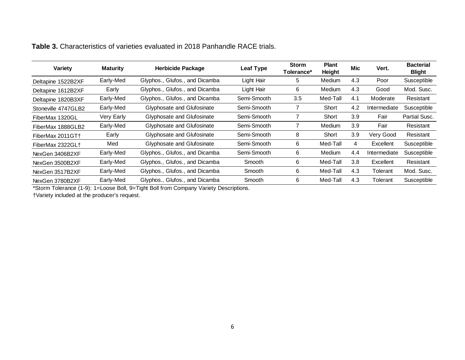| Variety             | <b>Maturity</b> | <b>Herbicide Package</b>       | <b>Leaf Type</b> | <b>Storm</b><br>Tolerance* | <b>Plant</b><br>Height | Mic              | Vert.        | <b>Bacterial</b><br><b>Blight</b> |
|---------------------|-----------------|--------------------------------|------------------|----------------------------|------------------------|------------------|--------------|-----------------------------------|
| Deltapine 1522B2XF  | Early-Med       | Glyphos., Glufos., and Dicamba | Light Hair       | 5                          | Medium                 | 4.3              | Poor         | Susceptible                       |
| Deltapine 1612B2XF  | Early           | Glyphos., Glufos., and Dicamba | Light Hair       | 6                          | <b>Medium</b>          | 4.3              | Good         | Mod. Susc.                        |
| Deltapine 1820B3XF  | Early-Med       | Glyphos., Glufos., and Dicamba | Semi-Smooth      | 3.5                        | Med-Tall               | 4.1              | Moderate     | Resistant                         |
| Stoneville 4747GLB2 | Early-Med       | Glyphosate and Glufosinate     | Semi-Smooth      |                            | Short                  | 4.2              | Intermediate | Susceptible                       |
| FiberMax 1320GL     | Very Early      | Glyphosate and Glufosinate     | Semi-Smooth      |                            | Short                  | 3.9              | Fair         | Partial Susc.                     |
| FiberMax 1888GLB2   | Early-Med       | Glyphosate and Glufosinate     | Semi-Smooth      |                            | Medium                 | 3.9 <sub>2</sub> | Fair         | Resistant                         |
| FiberMax 2011GT+    | Early           | Glyphosate and Glufosinate     | Semi-Smooth      | 8                          | Short                  | 3.9              | Very Good    | Resistant                         |
| FiberMax 2322GL+    | Med             | Glyphosate and Glufosinate     | Semi-Smooth      | 6                          | Med-Tall               | 4                | Excellent    | Susceptible                       |
| NexGen 3406B2XF     | Early-Med       | Glyphos., Glufos., and Dicamba | Semi-Smooth      | 6                          | Medium                 | 4.4              | Intermediate | Susceptible                       |
| NexGen 3500B2XF     | Early-Med       | Glyphos., Glufos., and Dicamba | Smooth           | 6                          | Med-Tall               | 3.8              | Excellent    | Resistant                         |
| NexGen 3517B2XF     | Early-Med       | Glyphos., Glufos., and Dicamba | Smooth           | 6                          | Med-Tall               | 4.3              | Tolerant     | Mod. Susc.                        |
| NexGen 3780B2XF     | Early-Med       | Glyphos., Glufos., and Dicamba | Smooth           | 6                          | Med-Tall               | 4.3              | Tolerant     | Susceptible                       |

#### **Table 3.** Characteristics of varieties evaluated in 2018 Panhandle RACE trials.

\*Storm Tolerance (1-9): 1=Loose Boll, 9=Tight Boll from Company Variety Descriptions.

†Variety included at the producer's request.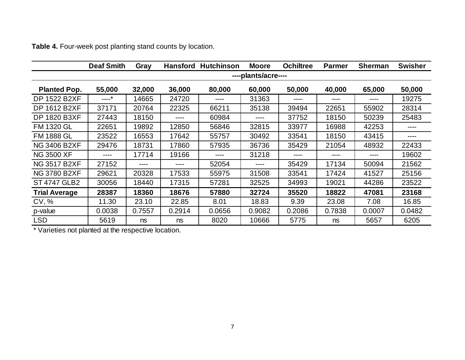|                      | <b>Deaf Smith</b> | Gray   |        | <b>Hansford Hutchinson</b> | <b>Moore</b>        | <b>Ochiltree</b> | <b>Parmer</b> | <b>Sherman</b> | <b>Swisher</b> |
|----------------------|-------------------|--------|--------|----------------------------|---------------------|------------------|---------------|----------------|----------------|
|                      |                   |        |        |                            | ----plants/acre---- |                  |               |                |                |
| <b>Planted Pop.</b>  | 55,000            | 32,000 | 36,000 | 80,000                     | 60,000              | 50,000           | 40,000        | 65,000         | 50,000         |
| <b>DP 1522 B2XF</b>  | ----*             | 14665  | 24720  | ----                       | 31363               | ----             | ----          | ----           | 19275          |
| DP 1612 B2XF         | 37171             | 20764  | 22325  | 66211                      | 35138               | 39494            | 22651         | 55902          | 28314          |
| <b>DP 1820 B3XF</b>  | 27443             | 18150  | $---$  | 60984                      | $---$               | 37752            | 18150         | 50239          | 25483          |
| <b>FM 1320 GL</b>    | 22651             | 19892  | 12850  | 56846                      | 32815               | 33977            | 16988         | 42253          | ----           |
| <b>FM 1888 GL</b>    | 23522             | 16553  | 17642  | 55757                      | 30492               | 33541            | 18150         | 43415          | ----           |
| <b>NG 3406 B2XF</b>  | 29476             | 18731  | 17860  | 57935                      | 36736               | 35429            | 21054         | 48932          | 22433          |
| <b>NG 3500 XF</b>    | ----              | 17714  | 19166  | ----                       | 31218               | ----             | ----          | ----           | 19602          |
| <b>NG 3517 B2XF</b>  | 27152             |        | ----   | 52054                      | ----                | 35429            | 17134         | 50094          | 21562          |
| <b>NG 3780 B2XF</b>  | 29621             | 20328  | 17533  | 55975                      | 31508               | 33541            | 17424         | 41527          | 25156          |
| ST 4747 GLB2         | 30056             | 18440  | 17315  | 57281                      | 32525               | 34993            | 19021         | 44286          | 23522          |
| <b>Trial Average</b> | 28387             | 18360  | 18676  | 57880                      | 32724               | 35520            | 18822         | 47081          | 23168          |
| CV, %                | 11.30             | 23.10  | 22.85  | 8.01                       | 18.83               | 9.39             | 23.08         | 7.08           | 16.85          |
| p-value              | 0.0038            | 0.7557 | 0.2914 | 0.0656                     | 0.9082              | 0.2086           | 0.7838        | 0.0007         | 0.0482         |
| <b>LSD</b>           | 5619              | ns     | ns     | 8020                       | 10666               | 5775             | ns            | 5657           | 6205           |

**Table 4.** Four-week post planting stand counts by location.

\* Varieties not planted at the respective location.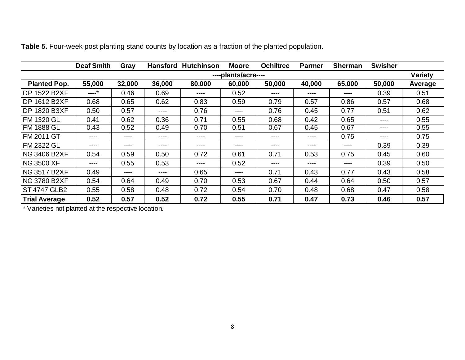|                      | <b>Deaf Smith</b> | Gray   | <b>Hansford</b> | <b>Hutchinson</b> | <b>Moore</b>        | <b>Ochiltree</b> | <b>Parmer</b> | <b>Sherman</b> | <b>Swisher</b> |                |
|----------------------|-------------------|--------|-----------------|-------------------|---------------------|------------------|---------------|----------------|----------------|----------------|
|                      |                   |        |                 |                   | ----plants/acre---- |                  |               |                |                | <b>Variety</b> |
| <b>Planted Pop.</b>  | 55,000            | 32,000 | 36,000          | 80,000            | 60,000              | 50,000           | 40,000        | 65,000         | 50,000         | Average        |
| <b>DP 1522 B2XF</b>  | ----*             | 0.46   | 0.69            | ----              | 0.52                | ----             | ----          | ----           | 0.39           | 0.51           |
| DP 1612 B2XF         | 0.68              | 0.65   | 0.62            | 0.83              | 0.59                | 0.79             | 0.57          | 0.86           | 0.57           | 0.68           |
| DP 1820 B3XF         | 0.50              | 0.57   | ----            | 0.76              | ----                | 0.76             | 0.45          | 0.77           | 0.51           | 0.62           |
| <b>FM 1320 GL</b>    | 0.41              | 0.62   | 0.36            | 0.71              | 0.55                | 0.68             | 0.42          | 0.65           | ----           | 0.55           |
| <b>FM 1888 GL</b>    | 0.43              | 0.52   | 0.49            | 0.70              | 0.51                | 0.67             | 0.45          | 0.67           | ----           | 0.55           |
| <b>FM 2011 GT</b>    | ----              | ----   | ----            | ----              | ----                | ----             | ----          | 0.75           | ----           | 0.75           |
| <b>FM 2322 GL</b>    | ----              | ----   | ----            | ----              | ----                | ----             | ----          | ----           | 0.39           | 0.39           |
| <b>NG 3406 B2XF</b>  | 0.54              | 0.59   | 0.50            | 0.72              | 0.61                | 0.71             | 0.53          | 0.75           | 0.45           | 0.60           |
| <b>NG 3500 XF</b>    | ----              | 0.55   | 0.53            | ----              | 0.52                | ----             | ----          | ----           | 0.39           | 0.50           |
| <b>NG 3517 B2XF</b>  | 0.49              | ----   | ----            | 0.65              | ----                | 0.71             | 0.43          | 0.77           | 0.43           | 0.58           |
| <b>NG 3780 B2XF</b>  | 0.54              | 0.64   | 0.49            | 0.70              | 0.53                | 0.67             | 0.44          | 0.64           | 0.50           | 0.57           |
| <b>ST 4747 GLB2</b>  | 0.55              | 0.58   | 0.48            | 0.72              | 0.54                | 0.70             | 0.48          | 0.68           | 0.47           | 0.58           |
| <b>Trial Average</b> | 0.52              | 0.57   | 0.52            | 0.72              | 0.55                | 0.71             | 0.47          | 0.73           | 0.46           | 0.57           |

**Table 5.** Four-week post planting stand counts by location as a fraction of the planted population.

\* Varieties not planted at the respective location.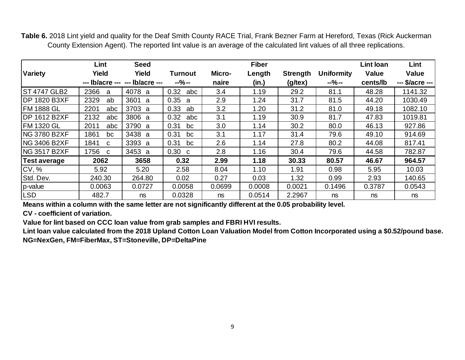**Table 6.** 2018 Lint yield and quality for the Deaf Smith County RACE Trial, Frank Bezner Farm at Hereford, Texas (Rick Auckerman County Extension Agent). The reported lint value is an average of the calculated lint values of all three replications.

|                      | Lint                 | <b>Seed</b>                     |             |               | <b>Fiber</b> |                  |                   | Lint loan    | Lint            |
|----------------------|----------------------|---------------------------------|-------------|---------------|--------------|------------------|-------------------|--------------|-----------------|
| <b>Variety</b>       | Yield                | Yield                           | Turnout     | <b>Micro-</b> | Length       | <b>Strength</b>  | <b>Uniformity</b> | <b>Value</b> | <b>Value</b>    |
|                      |                      | --- lb/acre --- --- lb/acre --- | $-9/0 -$    | naire         | (in.)        | $(g/\text{tex})$ | $-$ %--           | cents/lb     | --- \$/acre --- |
| ST 4747 GLB2         | 2366<br>a            | 4078 a                          | 0.32<br>abc | 3.4           | 1.19         | 29.2             | 81.1              | 48.28        | 1141.32         |
| <b>IDP 1820 B3XF</b> | 2329<br>ab           | 3601<br>a                       | 0.35<br>a   | 2.9           | 1.24         | 31.7             | 81.5              | 44.20        | 1030.49         |
| FM 1888 GL           | 2201<br>abc          | 3703 a                          | 0.33<br>ab  | 3.2           | 1.20         | 31.2             | 81.0              | 49.18        | 1082.10         |
| DP 1612 B2XF         | 2132<br>abc          | 3806 a                          | 0.32<br>abc | 3.1           | 1.19         | 30.9             | 81.7              | 47.83        | 1019.81         |
| FM 1320 GL           | 2011<br>abc          | 3790 a                          | 0.31<br>bc  | 3.0           | 1.14         | 30.2             | 80.0              | 46.13        | 927.86          |
| NG 3780 B2XF         | 1861<br>bc           | 3438 a                          | 0.31<br>bc  | 3.1           | 1.17         | 31.4             | 79.6              | 49.10        | 914.69          |
| ING 3406 B2XF        | 1841<br>$\mathbf{C}$ | 3393 a                          | 0.31<br>bc  | 2.6           | 1.14         | 27.8             | 80.2              | 44.08        | 817.41          |
| NG 3517 B2XF         | 1756<br>C.           | 3453 a                          | 0.30<br>C   | 2.8           | 1.16         | 30.4             | 79.6              | 44.58        | 782.87          |
| <b>Test average</b>  | 2062                 | 3658                            | 0.32        | 2.99          | 1.18         | 30.33            | 80.57             | 46.67        | 964.57          |
| CV, %                | 5.92                 | 5.20                            | 2.58        | 8.04          | 1.10         | 1.91             | 0.98              | 5.95         | 10.03           |
| Std. Dev.            | 240.30               | 264.80                          | 0.02        | 0.27          | 0.03         | 1.32             | 0.99              | 2.93         | 140.65          |
| p-value              | 0.0063               | 0.0727                          | 0.0058      | 0.0699        | 0.0008       | 0.0021           | 0.1496            | 0.3787       | 0.0543          |
| LSD                  | 482.7                | ns                              | 0.0328      | ns            | 0.0514       | 2.2967           | ns                | ns           | ns              |

**Means within a column with the same letter are not significantly different at the 0.05 probability level.**

**CV - coefficient of variation.**

**Value for lint based on CCC loan value from grab samples and FBRI HVI results.**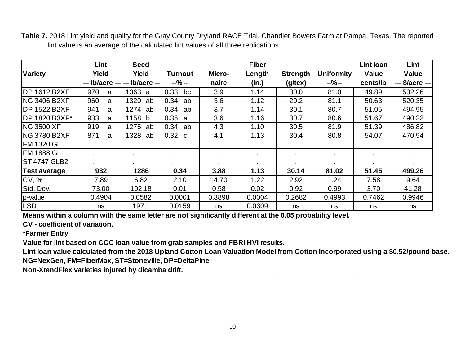**Table 7.** 2018 Lint yield and quality for the Gray County Dryland RACE Trial, Chandler Bowers Farm at Pampa, Texas. The reported lint value is an average of the calculated lint values of all three replications.

|                     | Lint                | <b>Seed</b> |                |        | <b>Fiber</b> |                  |                   | <b>Lint loan</b> | Lint            |
|---------------------|---------------------|-------------|----------------|--------|--------------|------------------|-------------------|------------------|-----------------|
| <b>Variety</b>      | Yield               | Yield       | Turnout        | Micro- | Length       | <b>Strength</b>  | <b>Uniformity</b> | <b>Value</b>     | Value           |
|                     | --- lb/acre --- --- | lb/acre --  | $-9/0 -$       | naire  | (in.)        | $(g/\text{tex})$ | $-% -$            | cents/lb         | --- \$/acre --- |
| <b>DP 1612 B2XF</b> | 970<br>a            | 1363<br>a   | 0.33<br>bc     | 3.9    | 1.14         | 30.0             | 81.0              | 49.89            | 532.26          |
| NG 3406 B2XF        | 960<br>a            | 1320<br>ab  | 0.34<br>ab     | 3.6    | 1.12         | 29.2             | 81.1              | 50.63            | 520.35          |
| IDP 1522 B2XF       | 941<br>a            | 1274<br>ab  | 0.34<br>ab     | 3.7    | 1.14         | 30.1             | 80.7              | 51.05            | 494.95          |
| DP 1820 B3XF*       | 933<br>a            | 1158<br>b   | 0.35 a         | 3.6    | 1.16         | 30.7             | 80.6              | 51.67            | 490.22          |
| <b>NG 3500 XF</b>   | 919<br>a            | 1275<br>ab  | 0.34<br>ab     | 4.3    | 1.10         | 30.5             | 81.9              | 51.39            | 486.82          |
| <b>NG 3780 B2XF</b> | 871<br>a            | 1328<br>ab  | $0.32\ c$      | 4.1    | 1.13         | 30.4             | 80.8              | 54.07            | 470.94          |
| <b>FM 1320 GL</b>   | $\sim$              | $\bullet$   | $\sim$         | $\sim$ | $\bullet$    | $\sim$           | $\sim$            | $\sim$           | $\bullet$       |
| <b>FM 1888 GL</b>   | $\bullet$ .         | $\bullet$   | $\blacksquare$ | $\sim$ | $\sim$       | $\sim$           | $\blacksquare$    | $\sim$           | $\sim$          |
| ST 4747 GLB2        |                     | $\sim$      |                | $\sim$ | ٠.           | <b>A</b> 1       |                   | $\blacksquare$   | $\sim$          |
| <b>Test average</b> | 932                 | 1286        | 0.34           | 3.88   | 1.13         | 30.14            | 81.02             | 51.45            | 499.26          |
| CV, %               | 7.89                | 6.82        | 2.10           | 14.70  | 1.22         | 2.92             | 1.24              | 7.58             | 9.64            |
| Std. Dev.           | 73.00               | 102.18      | 0.01           | 0.58   | 0.02         | 0.92             | 0.99              | 3.70             | 41.28           |
| p-value             | 0.4904              | 0.0582      | 0.0001         | 0.3898 | 0.0004       | 0.2682           | 0.4993            | 0.7462           | 0.9946          |
| <b>LSD</b>          | ns                  | 197.1       | 0.0159         | ns     | 0.0309       | ns               | ns                | ns               | ns              |

**Means within a column with the same letter are not significantly different at the 0.05 probability level.**

**CV - coefficient of variation.**

**\*Farmer Entry**

**Value for lint based on CCC loan value from grab samples and FBRI HVI results.** 

**Lint loan value calculated from the 2018 Upland Cotton Loan Valuation Model from Cotton Incorporated using a \$0.52/pound base. NG=NexGen, FM=FiberMax, ST=Stoneville, DP=DeltaPine**

**Non-XtendFlex varieties injured by dicamba drift.**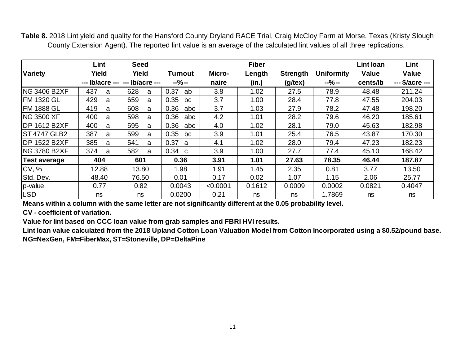**Table 8.** 2018 Lint yield and quality for the Hansford County Dryland RACE Trial, Craig McCloy Farm at Morse, Texas (Kristy Slough County Extension Agent). The reported lint value is an average of the calculated lint values of all three replications.

|                      | Lint     | <b>Seed</b>                     |                  |          | <b>Fiber</b> |                  |                   | <b>Lint loan</b> | Lint            |
|----------------------|----------|---------------------------------|------------------|----------|--------------|------------------|-------------------|------------------|-----------------|
| <b>Variety</b>       | Yield    | Yield                           | Turnout          | Micro-   | Length       | <b>Strength</b>  | <b>Uniformity</b> | <b>Value</b>     | Value           |
|                      |          | --- lb/acre --- --- lb/acre --- | $-9/0 -$         | naire    | (in.)        | $(g/\text{tex})$ | $-9/0 -$          | cents/lb         | --- \$/acre --- |
| NG 3406 B2XF         | 437<br>a | 628<br>a                        | 0.37<br>ab       | 3.8      | 1.02         | 27.5             | 78.9              | 48.48            | 211.24          |
| <b>FM 1320 GL</b>    | 429<br>a | 659<br>a                        | 0.35<br>bc       | 3.7      | 1.00         | 28.4             | 77.8              | 47.55            | 204.03          |
| <b>FM 1888 GL</b>    | 419<br>a | 608<br>a                        | 0.36<br>abc      | 3.7      | 1.03         | 27.9             | 78.2              | 47.48            | 198.20          |
| NG 3500 XF           | 400<br>a | 598<br>a                        | 0.36<br>abc      | 4.2      | 1.01         | 28.2             | 79.6              | 46.20            | 185.61          |
| <b>IDP 1612 B2XF</b> | 400<br>a | 595<br>a                        | 0.36<br>abc      | 4.0      | 1.02         | 28.1             | 79.0              | 45.63            | 182.98          |
| ST 4747 GLB2         | 387<br>a | 599<br>a                        | 0.35<br>bc       | 3.9      | 1.01         | 25.4             | 76.5              | 43.87            | 170.30          |
| <b>IDP 1522 B2XF</b> | 385<br>a | 541<br>a                        | 0.37<br>- a      | 4.1      | 1.02         | 28.0             | 79.4              | 47.23            | 182.23          |
| <b>NG 3780 B2XF</b>  | 374<br>a | 582<br>a                        | $0.34 \text{ c}$ | 3.9      | 1.00         | 27.7             | 77.4              | 45.10            | 168.42          |
| <b>Test average</b>  | 404      | 601                             | 0.36             | 3.91     | 1.01         | 27.63            | 78.35             | 46.44            | 187.87          |
| CV, %                | 12.88    | 13.80                           | 1.98             | 1.91     | 1.45         | 2.35             | 0.81              | 3.77             | 13.50           |
| Std. Dev.            | 48.40    | 76.50                           | 0.01             | 0.17     | 0.02         | 1.07             | 1.15              | 2.06             | 25.77           |
| p-value              | 0.77     | 0.82                            | 0.0043           | < 0.0001 | 0.1612       | 0.0009           | 0.0002            | 0.0821           | 0.4047          |
| <b>LSD</b>           | ns       | ns                              | 0.0200           | 0.21     | ns           | ns               | 1.7869            | ns               | ns              |

**Means within a column with the same letter are not significantly different at the 0.05 probability level.**

**CV - coefficient of variation.**

**Value for lint based on CCC loan value from grab samples and FBRI HVI results.**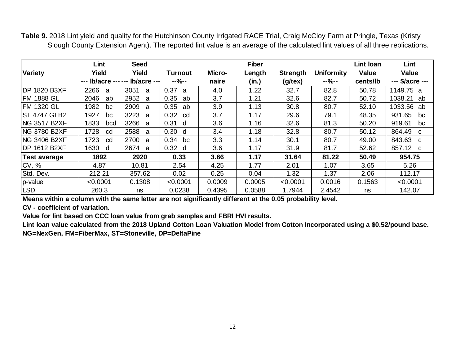Table 9. 2018 Lint yield and quality for the Hutchinson County Irrigated RACE Trial, Craig McCloy Farm at Pringle, Texas (Kristy Slough County Extension Agent). The reported lint value is an average of the calculated lint values of all three replications.

|                      | Lint        | <b>Seed</b>                     |                      |        | <b>Fiber</b> |                 |                   | Lint Ioan    | Lint            |
|----------------------|-------------|---------------------------------|----------------------|--------|--------------|-----------------|-------------------|--------------|-----------------|
| <b>Variety</b>       | Yield       | Yield                           | <b>Turnout</b>       | Micro- | Length       | <b>Strength</b> | <b>Uniformity</b> | <b>Value</b> | Value           |
|                      |             | --- lb/acre --- --- lb/acre --- | $-9/0-$              | naire  | (in.)        | (g/tex)         | $-9/0-$           | cents/lb     | --- \$/acre --- |
| <b>IDP 1820 B3XF</b> | 2266<br>a   | 3051<br>a                       | 0.37<br>$\mathsf{a}$ | 4.0    | 1.22         | 32.7            | 82.8              | 50.78        | 1149.75 a       |
| <b>FM 1888 GL</b>    | 2046<br>ab  | 2952<br>a                       | 0.35<br>ab           | 3.7    | 1.21         | 32.6            | 82.7              | 50.72        | 1038.21<br>ab   |
| <b>FM 1320 GL</b>    | 1982<br>bc  | 2909<br>a                       | 0.35<br>ab           | 3.9    | 1.13         | 30.8            | 80.7              | 52.10        | 1033.56<br>ab   |
| <b>ST 4747 GLB2</b>  | 1927<br>bc  | 3223<br>a                       | 0.32<br>cd           | 3.7    | 1.17         | 29.6            | 79.1              | 48.35        | 931.65<br>bc    |
| <b>ING 3517 B2XF</b> | 1833<br>bcd | 3266<br>a                       | 0.31<br>d            | 3.6    | 1.16         | 32.6            | 81.3              | 50.20        | 919.61<br>bc    |
| <b>ING 3780 B2XF</b> | 1728<br>cd  | 2588<br>a                       | 0.30<br>d            | 3.4    | 1.18         | 32.8            | 80.7              | 50.12        | 864.49<br>C     |
| <b>NG 3406 B2XF</b>  | 1723<br>cd  | 2700<br>a                       | 0.34<br>bc           | 3.3    | 1.14         | 30.1            | 80.7              | 49.00        | 843.63<br>C     |
| <b>DP 1612 B2XF</b>  | 1630<br>d   | 2674<br>a                       | $0.32$ d             | 3.6    | 1.17         | 31.9            | 81.7              | 52.62        | 857.12 c        |
| Test average         | 1892        | 2920                            | 0.33                 | 3.66   | 1.17         | 31.64           | 81.22             | 50.49        | 954.75          |
| CV, %                | 4.87        | 10.81                           | 2.54                 | 4.25   | 1.77         | 2.01            | 1.07              | 3.65         | 5.26            |
| Std. Dev.            | 212.21      | 357.62                          | 0.02                 | 0.25   | 0.04         | 1.32            | 1.37              | 2.06         | 112.17          |
| p-value              | < 0.0001    | 0.1308                          | < 0.0001             | 0.0009 | 0.0005       | < 0.0001        | 0.0016            | 0.1563       | < 0.0001        |
| LSD <sup>1</sup>     | 260.3       | ns                              | 0.0238               | 0.4395 | 0.0588       | 1.7944          | 2.4542            | ns           | 142.07          |

**Means within a column with the same letter are not significantly different at the 0.05 probability level.**

**CV - coefficient of variation.**

**Value for lint based on CCC loan value from grab samples and FBRI HVI results.**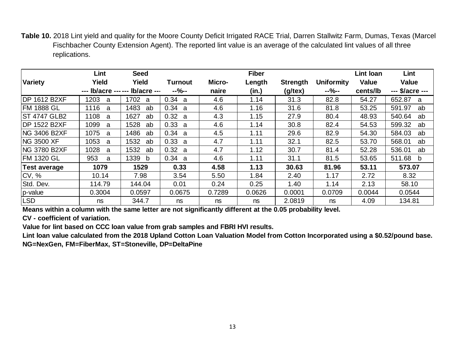**Table 10.** 2018 Lint yield and quality for the Moore County Deficit Irrigated RACE Trial, Darren Stallwitz Farm, Dumas, Texas (Marcel Fischbacher County Extension Agent). The reported lint value is an average of the calculated lint values of all three replications.

|                      | Lint      | <b>Seed</b>                     |             |        | <b>Fiber</b> |                 |                   | Lint Ioan    | Lint            |
|----------------------|-----------|---------------------------------|-------------|--------|--------------|-----------------|-------------------|--------------|-----------------|
| <b>Variety</b>       | Yield     | Yield                           | Turnout     | Micro- | Length       | <b>Strength</b> | <b>Uniformity</b> | <b>Value</b> | Value           |
|                      |           | --- lb/acre --- --- lb/acre --- | $-9/0-$     | naire  | (in.)        | $(g$ /tex $)$   | $-9/0-$           | cents/lb     | --- \$/acre --- |
| <b>IDP 1612 B2XF</b> | 1203<br>a | 1702<br>a                       | 0.34 a      | 4.6    | 1.14         | 31.3            | 82.8              | 54.27        | 652.87<br>a     |
| IFM 1888 GL          | 1116<br>a | 1483<br>ab                      | 0.34<br>- a | 4.6    | 1.16         | 31.6            | 81.8              | 53.25        | 591.97<br>ab    |
| <b>ST 4747 GLB2</b>  | 1108<br>a | 1627<br>ab                      | 0.32 a      | 4.3    | 1.15         | 27.9            | 80.4              | 48.93        | 540.64<br>ab    |
| <b>DP 1522 B2XF</b>  | 1099<br>a | 1528<br>ab                      | 0.33 a      | 4.6    | 1.14         | 30.8            | 82.4              | 54.53        | 599.32<br>ab    |
| <b>NG 3406 B2XF</b>  | 1075<br>a | 1486<br>ab                      | 0.34 a      | 4.5    | 1.11         | 29.6            | 82.9              | 54.30        | 584.03<br>ab    |
| <b>NG 3500 XF</b>    | 1053<br>a | 1532<br>ab                      | 0.33 a      | 4.7    | 1.11         | 32.1            | 82.5              | 53.70        | 568.01<br>ab    |
| <b>NG 3780 B2XF</b>  | 1028<br>a | 1532<br>ab                      | 0.32 a      | 4.7    | 1.12         | 30.7            | 81.4              | 52.28        | 536.01<br>ab    |
| <b>FM 1320 GL</b>    | 953<br>a  | 1339<br>b                       | 0.34 a      | 4.6    | 1.11         | 31.1            | 81.5              | 53.65        | 511.68<br>b     |
| <b>Test average</b>  | 1079      | 1529                            | 0.33        | 4.58   | 1.13         | 30.63           | 81.96             | 53.11        | 573.07          |
| CV, %                | 10.14     | 7.98                            | 3.54        | 5.50   | 1.84         | 2.40            | 1.17              | 2.72         | 8.32            |
| Std. Dev.            | 114.79    | 144.04                          | 0.01        | 0.24   | 0.25         | 1.40            | 1.14              | 2.13         | 58.10           |
| p-value              | 0.3004    | 0.0597                          | 0.0675      | 0.7289 | 0.0626       | 0.0001          | 0.0709            | 0.0044       | 0.0544          |
| <b>LSD</b>           | ns        | 344.7                           | ns          | ns     | ns           | 2.0819          | ns                | 4.09         | 134.81          |

**Means within a column with the same letter are not significantly different at the 0.05 probability level.**

**CV - coefficient of variation.**

**Value for lint based on CCC loan value from grab samples and FBRI HVI results.**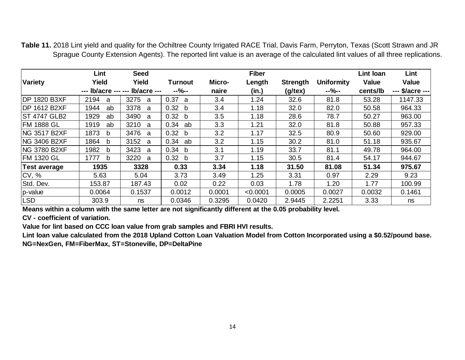**Table 11.** 2018 Lint yield and quality for the Ochiltree County Irrigated RACE Trial, Davis Farm, Perryton, Texas (Scott Strawn and JR Sprague County Extension Agents). The reported lint value is an average of the calculated lint values of all three replications.

|                      | Lint       | <b>Seed</b>                     |                   |        | <b>Fiber</b> |                 |                   | Lint Ioan    | Lint            |
|----------------------|------------|---------------------------------|-------------------|--------|--------------|-----------------|-------------------|--------------|-----------------|
| <b>Variety</b>       | Yield      | Yield                           | <b>Turnout</b>    | Micro- | Length       | <b>Strength</b> | <b>Uniformity</b> | <b>Value</b> | Value           |
|                      |            | --- lb/acre --- --- lb/acre --- | $-9/0-$           | naire  | (in.)        | (g/tex)         | $-9/0-$           | cents/lb     | --- \$/acre --- |
| <b>IDP 1820 B3XF</b> | 2194<br>a  | 3275<br>a                       | 0.37<br>a         | 3.4    | 1.24         | 32.6            | 81.8              | 53.28        | 1147.33         |
| <b>IDP 1612 B2XF</b> | 1944<br>ab | 3378<br>a                       | 0.32<br>b         | 3.4    | 1.18         | 32.0            | 82.0              | 50.58        | 964.33          |
| <b>ST 4747 GLB2</b>  | 1929<br>ab | 3490<br>a                       | 0.32 <sub>b</sub> | 3.5    | 1.18         | 28.6            | 78.7              | 50.27        | 963.00          |
| <b>FM 1888 GL</b>    | 1919<br>ab | 3210<br>a                       | 0.34<br>ab        | 3.3    | 1.21         | 32.0            | 81.8              | 50.88        | 957.33          |
| <b>NG 3517 B2XF</b>  | 1873<br>b  | 3476<br>a                       | 0.32 <sub>b</sub> | 3.2    | 1.17         | 32.5            | 80.9              | 50.60        | 929.00          |
| <b>NG 3406 B2XF</b>  | 1864<br>b  | 3152<br>a                       | 0.34<br>ab        | 3.2    | 1.15         | 30.2            | 81.0              | 51.18        | 935.67          |
| <b>NG 3780 B2XF</b>  | 1982<br>b  | 3423<br>a                       | 0.34 b            | 3.1    | 1.19         | 33.7            | 81.1              | 49.78        | 964.00          |
| <b>FM 1320 GL</b>    | 1777<br>b  | 3220<br>a                       | 0.32 <sub>b</sub> | 3.7    | 1.15         | 30.5            | 81.4              | 54.17        | 944.67          |
| Test average         | 1935       | 3328                            | 0.33              | 3.34   | 1.18         | 31.50           | 81.08             | 51.34        | 975.67          |
| CV, %                | 5.63       | 5.04                            | 3.73              | 3.49   | 1.25         | 3.31            | 0.97              | 2.29         | 9.23            |
| Std. Dev.            | 153.87     | 187.43                          | 0.02              | 0.22   | 0.03         | 1.78            | 1.20              | 1.77         | 100.99          |
| p-value              | 0.0064     | 0.1537                          | 0.0012            | 0.0001 | < 0.0001     | 0.0005          | 0.0027            | 0.0032       | 0.1461          |
| LSD <sup>1</sup>     | 303.9      | ns                              | 0.0346            | 0.3295 | 0.0420       | 2.9445          | 2.2251            | 3.33         | ns              |

**Means within a column with the same letter are not significantly different at the 0.05 probability level.**

**CV - coefficient of variation.**

**Value for lint based on CCC loan value from grab samples and FBRI HVI results.**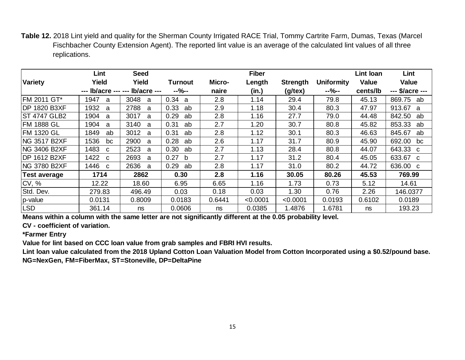**Table 12.** 2018 Lint yield and quality for the Sherman County Irrigated RACE Trial, Tommy Cartrite Farm, Dumas, Texas (Marcel Fischbacher County Extension Agent). The reported lint value is an average of the calculated lint values of all three replications.

|                      | Lint                 | <b>Seed</b>                     |                |        | <b>Fiber</b> |                  |                   | Lint loan    | Lint                   |
|----------------------|----------------------|---------------------------------|----------------|--------|--------------|------------------|-------------------|--------------|------------------------|
| <b>Variety</b>       | Yield                | Yield                           | <b>Turnout</b> | Micro- | Length       | <b>Strength</b>  | <b>Uniformity</b> | <b>Value</b> | <b>Value</b>           |
|                      |                      | --- lb/acre --- --- lb/acre --- | $-9/0-$        | naire  | (in.)        | $(g/\text{tex})$ | $-9/0-$           | cents/lb     | --- \$/acre ---        |
| <b>FM 2011 GT*</b>   | 1947<br>a            | 3048<br>a                       | 0.34<br>a      | 2.8    | 1.14         | 29.4             | 79.8              | 45.13        | 869.75<br>ab           |
| <b>IDP 1820 B3XF</b> | 1932<br>a            | 2788<br>a                       | 0.33<br>ab     | 2.9    | 1.18         | 30.4             | 80.3              | 47.97        | 913.67<br>$\mathbf{a}$ |
| <b>ST 4747 GLB2</b>  | 1904<br>a            | 3017<br>a                       | 0.29<br>ab     | 2.8    | 1.16         | 27.7             | 79.0              | 44.48        | 842.50<br>ab           |
| <b>FM 1888 GL</b>    | 1904<br>a            | 3140<br>a                       | 0.31<br>ab     | 2.7    | 1.20         | 30.7             | 80.8              | 45.82        | 853.33<br>ab           |
| <b>FM 1320 GL</b>    | 1849<br>ab           | 3012<br>a                       | 0.31<br>ab     | 2.8    | 1.12         | 30.1             | 80.3              | 46.63        | 845.67<br>ab           |
| <b>NG 3517 B2XF</b>  | 1536<br>bc           | 2900<br>a                       | 0.28<br>ab     | 2.6    | 1.17         | 31.7             | 80.9              | 45.90        | 692.00<br>bc           |
| <b>NG 3406 B2XF</b>  | 1483<br>C.           | 2523<br>a                       | 0.30<br>ab     | 2.7    | 1.13         | 28.4             | 80.8              | 44.07        | 643.33 c               |
| <b>DP 1612 B2XF</b>  | 1422<br>$\mathbf{C}$ | 2693<br>a                       | 0.27<br>b      | 2.7    | 1.17         | 31.2             | 80.4              | 45.05        | 633.67 c               |
| <b>NG 3780 B2XF</b>  | 1446 с               | 2636<br>a                       | 0.29<br>ab     | 2.8    | 1.17         | 31.0             | 80.2              | 44.72        | 636.00 c               |
| <b>Test average</b>  | 1714                 | 2862                            | 0.30           | 2.8    | 1.16         | 30.05            | 80.26             | 45.53        | 769.99                 |
| CV, %                | 12.22                | 18.60                           | 6.95           | 6.65   | 1.16         | 1.73             | 0.73              | 5.12         | 14.61                  |
| Std. Dev.            | 279.83               | 496.49                          | 0.03           | 0.18   | 0.03         | 1.30             | 0.76              | 2.26         | 146.0377               |
| p-value              | 0.0131               | 0.8009                          | 0.0183         | 0.6441 | < 0.0001     | < 0.0001         | 0.0193            | 0.6102       | 0.0189                 |
| <b>LSD</b>           | 361.14               | ns                              | 0.0606         | ns     | 0.0385       | 1.4876           | 1.6781            | ns           | 193.23                 |

**Means within a column with the same letter are not significantly different at the 0.05 probability level.**

**CV - coefficient of variation.**

**\*Farmer Entry**

**Value for lint based on CCC loan value from grab samples and FBRI HVI results.**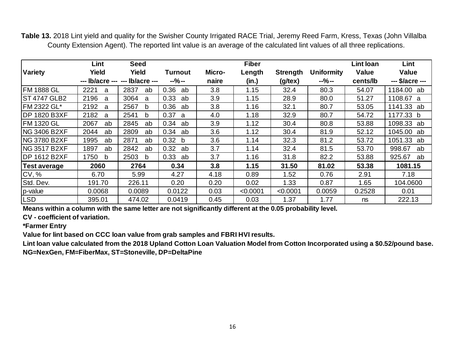**Table 13.** 2018 Lint yield and quality for the Swisher County Irrigated RACE Trial, Jeremy Reed Farm, Kress, Texas (John Villalba County Extension Agent). The reported lint value is an average of the calculated lint values of all three replications.

|                      | Lint       | <b>Seed</b>                     |                      |        | <b>Fiber</b> |                  |                   | Lint Ioan    | Lint            |
|----------------------|------------|---------------------------------|----------------------|--------|--------------|------------------|-------------------|--------------|-----------------|
| <b>Variety</b>       | Yield      | Yield                           | Turnout              | Micro- | Length       | <b>Strength</b>  | <b>Uniformity</b> | <b>Value</b> | <b>Value</b>    |
|                      |            | --- lb/acre --- --- lb/acre --- | $-% -$               | naire  | (in.)        | $(g/\text{tex})$ | $-9/0 -$          | cents/lb     | --- \$/acre --- |
| FM 1888 GL           | 2221<br>a  | 2837<br>ab                      | 0.36<br>ab           | 3.8    | 1.15         | 32.4             | 80.3              | 54.07        | 1184.00 ab      |
| IST 4747 GLB2        | 2196<br>a  | 3064<br>a                       | 0.33<br>ab           | 3.9    | 1.15         | 28.9             | 80.0              | 51.27        | 1108.67 a       |
| FM 2322 GL*          | 2192<br>a  | 2567<br>b                       | 0.36<br>ab           | 3.8    | 1.16         | 32.1             | 80.7              | 53.05        | 1141.33 ab      |
| <b>DP 1820 B3XF</b>  | 2182<br>a  | 2541<br>b                       | 0.37<br>a            | 4.0    | 1.18         | 32.9             | 80.7              | 54.72        | 1177.33 b       |
| FM 1320 GL           | 2067<br>ab | 2845<br>ab                      | 0.34<br>ab           | 3.9    | 1.12         | 30.4             | 80.8              | 53.88        | 1098.33 ab      |
| NG 3406 B2XF         | 2044<br>ab | 2809<br>ab                      | 0.34<br>ab           | 3.6    | 1.12         | 30.4             | 81.9              | 52.12        | 1045.00<br>ab   |
| NG 3780 B2XF         | 1995<br>ab | 2871<br>ab                      | 0.32<br><sub>b</sub> | 3.6    | 1.14         | 32.3             | 81.2              | 53.72        | 1051.33<br>ab   |
| NG 3517 B2XF         | 1897<br>ab | 2842<br>ab                      | 0.32<br>ab           | 3.7    | 1.14         | 32.4             | 81.5              | 53.70        | 998.67<br>ab    |
| <b>IDP 1612 B2XF</b> | 1750<br>b  | 2503<br>b                       | 0.33<br>ab           | 3.7    | 1.16         | 31.8             | 82.2              | 53.88        | 925.67<br>ab    |
| <b>Test average</b>  | 2060       | 2764                            | 0.34                 | 3.8    | 1.15         | 31.50            | 81.02             | 53.38        | 1081.15         |
| CV, %                | 6.70       | 5.99                            | 4.27                 | 4.18   | 0.89         | 1.52             | 0.76              | 2.91         | 7.18            |
| Std. Dev.            | 191.70     | 226.11                          | 0.20                 | 0.20   | 0.02         | 1.33             | 0.87              | 1.65         | 104.0600        |
| p-value              | 0.0068     | 0.0089                          | 0.0122               | 0.03   | < 0.0001     | < 0.0001         | 0.0059            | 0.2528       | 0.01            |
| LSD <sup>1</sup>     | 395.01     | 474.02                          | 0.0419               | 0.45   | 0.03         | 1.37             | 1.77              | ns           | 222.13          |

**Means within a column with the same letter are not significantly different at the 0.05 probability level.**

**CV - coefficient of variation.**

**\*Farmer Entry**

**Value for lint based on CCC loan value from grab samples and FBRI HVI results.**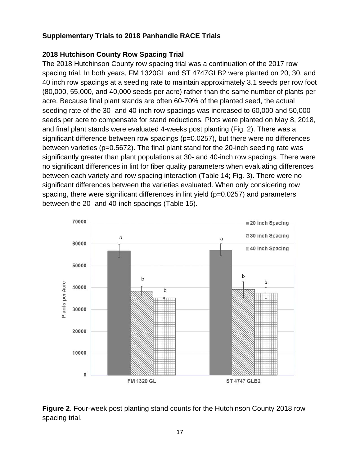#### **Supplementary Trials to 2018 Panhandle RACE Trials**

#### **2018 Hutchison County Row Spacing Trial**

The 2018 Hutchinson County row spacing trial was a continuation of the 2017 row spacing trial. In both years, FM 1320GL and ST 4747GLB2 were planted on 20, 30, and 40 inch row spacings at a seeding rate to maintain approximately 3.1 seeds per row foot (80,000, 55,000, and 40,000 seeds per acre) rather than the same number of plants per acre. Because final plant stands are often 60-70% of the planted seed, the actual seeding rate of the 30- and 40-inch row spacings was increased to 60,000 and 50,000 seeds per acre to compensate for stand reductions. Plots were planted on May 8, 2018, and final plant stands were evaluated 4-weeks post planting (Fig. 2). There was a significant difference between row spacings  $(p=0.0257)$ , but there were no differences between varieties (p=0.5672). The final plant stand for the 20-inch seeding rate was significantly greater than plant populations at 30- and 40-inch row spacings. There were no significant differences in lint for fiber quality parameters when evaluating differences between each variety and row spacing interaction (Table 14; Fig. 3). There were no significant differences between the varieties evaluated. When only considering row spacing, there were significant differences in lint yield (p=0.0257) and parameters between the 20- and 40-inch spacings (Table 15).



**Figure 2**. Four-week post planting stand counts for the Hutchinson County 2018 row spacing trial.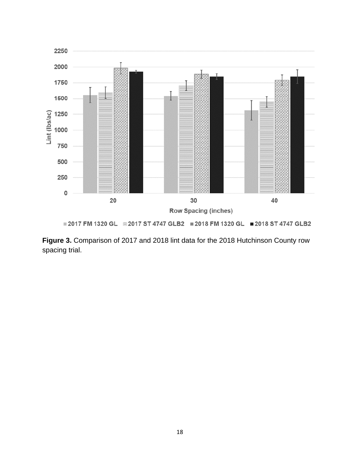

■ 2017 FM 1320 GL ■ 2017 ST 4747 GLB2 ■ 2018 FM 1320 GL ■ 2018 ST 4747 GLB2

**Figure 3.** Comparison of 2017 and 2018 lint data for the 2018 Hutchinson County row spacing trial.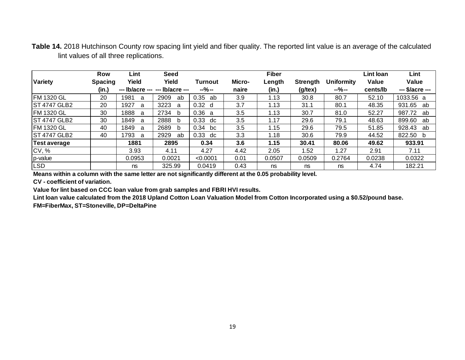**Table 14.** 2018 Hutchinson County row spacing lint yield and fiber quality. The reported lint value is an average of the calculated lint values of all three replications.

|                     | <b>Row</b>     | Lint            | Seed            |                |        | <b>Fiber</b> |                  |                   | Lint loan | Lint            |
|---------------------|----------------|-----------------|-----------------|----------------|--------|--------------|------------------|-------------------|-----------|-----------------|
| <b>Variety</b>      | <b>Spacing</b> | Yield           | Yield           | <b>Turnout</b> | Micro- | Length       | <b>Strength</b>  | <b>Uniformity</b> | Value     | Value           |
|                     | (in.)          | --- lb/acre --- | --- lb/acre --- | $-9/0 -$       | naire  | (in.)        | $(g/\text{tex})$ | $-% -$            | cents/lb  | --- \$/acre --- |
| <b>FM 1320 GL</b>   | 20             | 1981<br>a       | 2909<br>ab      | 0.35<br>ab     | 3.9    | 1.13         | 30.8             | 80.7              | 52.10     | 1033.56 a       |
| <b>ST 4747 GLB2</b> | 20             | 1927<br>a       | 3223<br>a       | 0.32<br>d      | 3.7    | 1.13         | 31.1             | 80.1              | 48.35     | 931.65<br>ab    |
| <b>FM 1320 GL</b>   | 30             | 1888<br>a       | 2734<br>b       | 0.36<br>a      | 3.5    | 1.13         | 30.7             | 81.0              | 52.27     | 987.72<br>ab    |
| <b>ST 4747 GLB2</b> | 30             | 1849<br>a       | 2888<br>b       | 0.33<br>dc     | 3.5    | 1.17         | 29.6             | 79.1              | 48.63     | 899.60<br>ab    |
| <b>IFM 1320 GL</b>  | 40             | 1849<br>a       | 2689<br>b       | 0.34<br>bc     | 3.5    | 1.15         | 29.6             | 79.5              | 51.85     | 928.43<br>ab    |
| <b>ST 4747 GLB2</b> | 40             | 1793<br>a       | 2929<br>ab      | 0.33<br>dc     | 3.3    | 1.18         | 30.6             | 79.9              | 44.52     | 822.50 b        |
| Test average        |                | 1881            | 2895            | 0.34           | 3.6    | 1.15         | 30.41            | 80.06             | 49.62     | 933.91          |
| CV, %               |                | 3.93            | 4.11            | 4.27           | 4.42   | 2.05         | 1.52             | 1.27              | 2.91      | 7.11            |
| $ p$ -value         |                | 0.0953          | 0.0021          | < 0.0001       | 0.01   | 0.0507       | 0.0509           | 0.2764            | 0.0238    | 0.0322          |
| LSD                 |                | ns              | 325.99          | 0.0419         | 0.43   | ns           | ns               | ns                | 4.74      | 182.21          |

**Means within a column with the same letter are not significantly different at the 0.05 probability level.**

**CV - coefficient of variation.**

**Value for lint based on CCC loan value from grab samples and FBRI HVI results.** 

**Lint loan value calculated from the 2018 Upland Cotton Loan Valuation Model from Cotton Incorporated using a \$0.52/pound base.**

**FM=FiberMax, ST=Stoneville, DP=DeltaPine**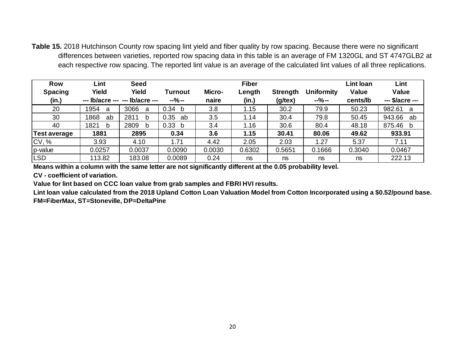**Table 15.** 2018 Hutchinson County row spacing lint yield and fiber quality by row spacing. Because there were no significant differences between varieties, reported row spacing data in this table is an average of FM 1320GL and ST 4747GLB2 at each respective row spacing. The reported lint value is an average of the calculated lint values of all three replications.

| <b>Row</b><br><b>Spacing</b><br>(in.) | Lint<br>Yield | <b>Seed</b><br>Yield<br>$-$ -- lb/acre --- --- lb/acre --- | Turnout<br>$-$ %- | Micro-<br>naire | <b>Fiber</b><br>Length<br>(in.) | <b>Strength</b><br>$(g$ /tex $)$ | <b>Uniformity</b><br>$-9/0 -$ | Lint Ioan<br><b>Value</b><br>cents/lb | Lint<br><b>Value</b><br>--- \$/acre --- |
|---------------------------------------|---------------|------------------------------------------------------------|-------------------|-----------------|---------------------------------|----------------------------------|-------------------------------|---------------------------------------|-----------------------------------------|
| 20                                    | 1954<br>a     | 3066<br>a                                                  | 0.34 b            | 3.8             | 1.15                            | 30.2                             | 79.9                          | 50.23                                 | 982.61<br>a                             |
| 30                                    | 1868<br>ab    | 2811<br>b                                                  | 0.35<br>ab        | 3.5             | 1.14                            | 30.4                             | 79.8                          | 50.45                                 | 943.66<br>ab                            |
| 40                                    | 1821<br>b     | 2809<br>b                                                  | 0.33 b            | 3.4             | 1.16                            | 30.6                             | 80.4                          | 48.18                                 | 875.46<br>b                             |
| Test average                          | 1881          | 2895                                                       | 0.34              | 3.6             | 1.15                            | 30.41                            | 80.06                         | 49.62                                 | 933.91                                  |
| <b>CV, %</b>                          | 3.93          | 4.10                                                       | 1.71              | 4.42            | 2.05                            | 2.03                             | 1.27                          | 5.37                                  | 7.11                                    |
| p-value                               | 0.0257        | 0.0037                                                     | 0.0090            | 0.0030          | 0.6302                          | 0.5651                           | 0.1666                        | 0.3040                                | 0.0467                                  |
| <b>LSD</b>                            | 113.82        | 183.08                                                     | 0.0089            | 0.24            | ns                              | ns                               | ns                            | ns                                    | 222.13                                  |

**Means within a column with the same letter are not significantly different at the 0.05 probability level.**

**CV - coefficient of variation.**

**Value for lint based on CCC loan value from grab samples and FBRI HVI results.**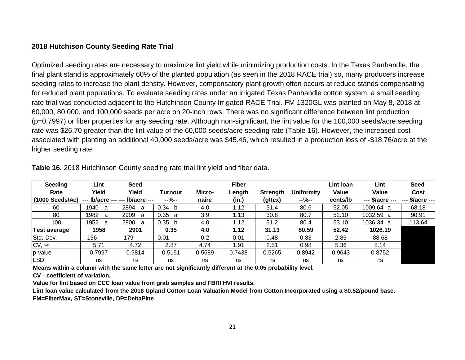#### **2018 Hutchison County Seeding Rate Trial**

Optimized seeding rates are necessary to maximize lint yield while minimizing production costs. In the Texas Panhandle, the final plant stand is approximately 60% of the planted population (as seen in the 2018 RACE trial) so, many producers increase seeding rates to increase the plant density. However, compensatory plant growth often occurs at reduce stands compensating for reduced plant populations. To evaluate seeding rates under an irrigated Texas Panhandle cotton system, a small seeding rate trial was conducted adjacent to the Hutchinson County Irrigated RACE Trial. FM 1320GL was planted on May 8, 2018 at 60,000, 80,000, and 100,000 seeds per acre on 20-inch rows. There was no significant difference between lint production (p=0.7997) or fiber properties for any seeding rate. Although non-significant, the lint value for the 100,000 seeds/acre seeding rate was \$26.70 greater than the lint value of the 60,000 seeds/acre seeding rate (Table 16). However, the increased cost associated with planting an additional 40,000 seeds/acre was \$45.46, which resulted in a production loss of -\$18.76/acre at the higher seeding rate.

| <b>Seeding</b>            | Lint        | <b>Seed</b>                     |         |        | <b>Fiber</b> |                 |                   | Lint Ioan    | Lint            | <b>Seed</b>                           |
|---------------------------|-------------|---------------------------------|---------|--------|--------------|-----------------|-------------------|--------------|-----------------|---------------------------------------|
| Rate                      | Yield       | Yield                           | Turnout | Micro- | Length       | <b>Strength</b> | <b>Uniformity</b> | <b>Value</b> | <b>Value</b>    | Cost                                  |
| $(1000 \text{ Seeds/Ac})$ |             | --- lb/acre --- --- lb/acre --- | $-9/0-$ | naire  | (in.)        | $(g$ /tex $)$   | $-9/0-$           | cents/lb     | --- \$/acre --- | \$/acre ---<br>$\qquad \qquad \cdots$ |
| 60                        | 1940<br>- a | 2894<br>a                       | 0.34 b  | 4.0    | 1.12         | 31.4            | 80.6              | 52.05        | 1009.64 a       | 68.18                                 |
| -80                       | 1982<br>- a | 2909<br>a                       | 0.35 a  | 3.9    | 1.13         | 30.8            | 80.7              | 52.10        | 1032.59 a       | 90.91                                 |
| 100                       | 1952 a      | 2900<br>a                       | 0.35 b  | 4.0    | 1.12         | 31.2            | 80.4              | 53.10        | 1036.34 a       | 113.64                                |
| Test average              | 1958        | 2901                            | 0.35    | 4.0    | 1.12         | 31.13           | 80.59             | 52.42        | 1026.19         |                                       |
| Std. Dev.                 | 156         | 179                             | 0.01    | 0.2    | 0.01         | 0.48            | 0.83              | 2.85         | 88.68           |                                       |
| CV, %                     | 5.71        | 4.72                            | 2.87    | 4.74   | 1.91         | 2.51            | 0.98              | 5.36         | 8.14            |                                       |
| p-value                   | 0.7997      | 0.9814                          | 0.5151  | 0.5689 | 0.7438       | 0.5265          | 0.8942            | 0.9643       | 0.8752          |                                       |
| <b>LSD</b>                | ns          | ns                              | ns      | ns     | ns           | ns              | ns                | ns           | ns              |                                       |

**Table 16.** 2018 Hutchinson County seeding rate trial lint yield and fiber data.

**Means within a column with the same letter are not significantly different at the 0.05 probability level.**

**CV - coefficient of variation.**

**Value for lint based on CCC loan value from grab samples and FBRI HVI results.** 

**Lint loan value calculated from the 2018 Upland Cotton Loan Valuation Model from Cotton Incorporated using a \$0.52/pound base.**

**FM=FiberMax, ST=Stoneville, DP=DeltaPine**